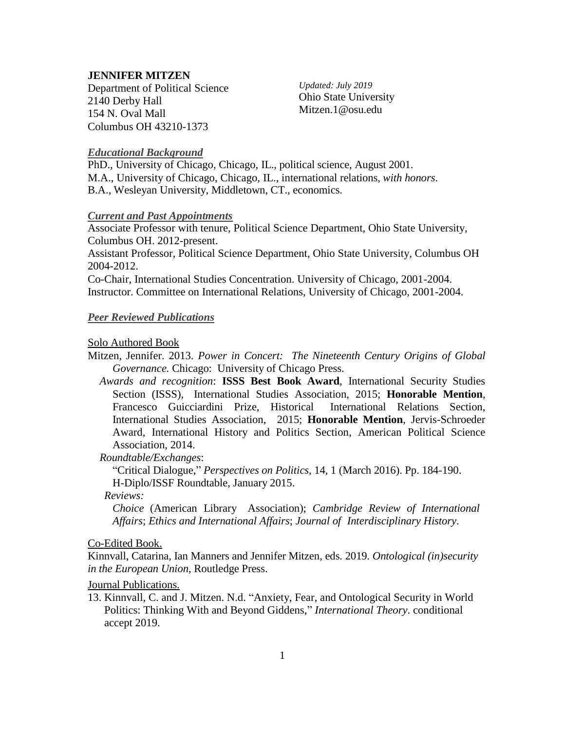### **JENNIFER MITZEN**

 Department of Political Science 2140 Derby Hall 154 N. Oval Mall Columbus OH 43210-1373

*Updated: July 2019* Ohio State University Mitzen.1@osu.edu

### *Educational Background*

PhD., University of Chicago, Chicago, IL., political science, August 2001. M.A., University of Chicago, Chicago, IL., international relations, *with honors*. B.A., Wesleyan University, Middletown, CT., economics.

#### *Current and Past Appointments*

Associate Professor with tenure, Political Science Department, Ohio State University, Columbus OH. 2012-present.

Assistant Professor, Political Science Department, Ohio State University, Columbus OH 2004-2012.

Co-Chair, International Studies Concentration. University of Chicago, 2001-2004. Instructor. Committee on International Relations, University of Chicago, 2001-2004.

#### *Peer Reviewed Publications*

#### Solo Authored Book

- Mitzen, Jennifer. 2013. *Power in Concert: The Nineteenth Century Origins of Global Governance.* Chicago: University of Chicago Press.
	- *Awards and recognition*: **ISSS Best Book Award**, International Security Studies Section (ISSS), International Studies Association, 2015; **Honorable Mention**, Francesco Guicciardini Prize, Historical International Relations Section, International Studies Association, 2015; **Honorable Mention**, Jervis-Schroeder Award, International History and Politics Section, American Political Science Association, 2014.

*Roundtable/Exchanges*:

"Critical Dialogue," *Perspectives on Politics*, 14, 1 (March 2016). Pp. 184-190. H-Diplo/ISSF Roundtable, January 2015.

*Reviews:*

*Choice* (American Library Association); *Cambridge Review of International Affairs*; *Ethics and International Affairs*; *Journal of Interdisciplinary History*.

#### Co-Edited Book.

Kinnvall, Catarina, Ian Manners and Jennifer Mitzen, eds. 2019*. Ontological (in)security in the European Union*, Routledge Press.

Journal Publications.

13. Kinnvall, C. and J. Mitzen. N.d. "Anxiety, Fear, and Ontological Security in World Politics: Thinking With and Beyond Giddens," *International Theory*. conditional accept 2019.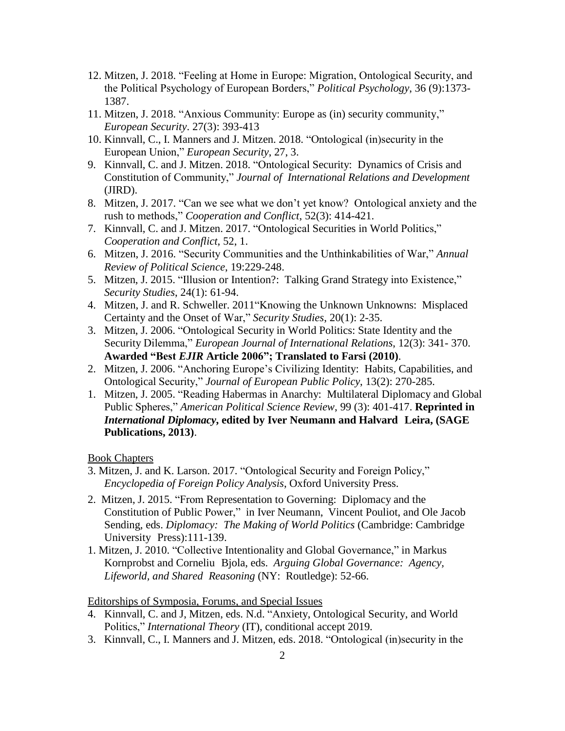- 12. Mitzen, J. 2018. "Feeling at Home in Europe: Migration, Ontological Security, and the Political Psychology of European Borders," *Political Psychology*, 36 (9):1373- 1387.
- 11. Mitzen, J. 2018. "Anxious Community: Europe as (in) security community," *European Security*. 27(3): 393-413
- 10. Kinnvall, C., I. Manners and J. Mitzen. 2018. "Ontological (in)security in the European Union," *European Security*, 27, 3.
- 9. Kinnvall, C. and J. Mitzen. 2018. "Ontological Security: Dynamics of Crisis and Constitution of Community," *Journal of International Relations and Development* (JIRD).
- 8. Mitzen, J. 2017. "Can we see what we don't yet know? Ontological anxiety and the rush to methods," *Cooperation and Conflict*, 52(3): 414-421.
- 7. Kinnvall, C. and J. Mitzen. 2017. "Ontological Securities in World Politics," *Cooperation and Conflict*, 52, 1.
- 6. Mitzen, J. 2016. "Security Communities and the Unthinkabilities of War," *Annual Review of Political Science*, 19:229-248.
- 5. Mitzen, J. 2015. "Illusion or Intention?: Talking Grand Strategy into Existence," *Security Studies*, 24(1): 61-94.
- 4. Mitzen, J. and R. Schweller. 2011"Knowing the Unknown Unknowns: Misplaced Certainty and the Onset of War," *Security Studies*, 20(1): 2-35.
- 3. Mitzen, J. 2006. "Ontological Security in World Politics: State Identity and the Security Dilemma," *European Journal of International Relations*, 12(3): 341- 370. **Awarded "Best** *EJIR* **Article 2006"; Translated to Farsi (2010)**.
- 2. Mitzen, J. 2006. "Anchoring Europe's Civilizing Identity: Habits, Capabilities, and Ontological Security," *Journal of European Public Policy*, 13(2): 270-285.
- 1. Mitzen, J. 2005. "Reading Habermas in Anarchy: Multilateral Diplomacy and Global Public Spheres," *American Political Science Review*, 99 (3): 401-417. **Reprinted in** *International Diplomacy***, edited by Iver Neumann and Halvard Leira, (SAGE Publications, 2013)**.

## Book Chapters

- 3. Mitzen, J. and K. Larson. 2017. "Ontological Security and Foreign Policy," *Encyclopedia of Foreign Policy Analysis*, Oxford University Press.
- 2. Mitzen, J. 2015. "From Representation to Governing: Diplomacy and the Constitution of Public Power," in Iver Neumann, Vincent Pouliot, and Ole Jacob Sending, eds. *Diplomacy: The Making of World Politics* (Cambridge: Cambridge University Press):111-139.
- 1. Mitzen, J. 2010. "Collective Intentionality and Global Governance," in Markus Kornprobst and Corneliu Bjola, eds. *Arguing Global Governance: Agency, Lifeworld, and Shared Reasoning* (NY: Routledge): 52-66.

### Editorships of Symposia, Forums, and Special Issues

- 4. Kinnvall, C. and J, Mitzen, eds. N.d. "Anxiety, Ontological Security, and World Politics," *International Theory* (IT), conditional accept 2019.
- 3. Kinnvall, C., I. Manners and J. Mitzen, eds. 2018. "Ontological (in)security in the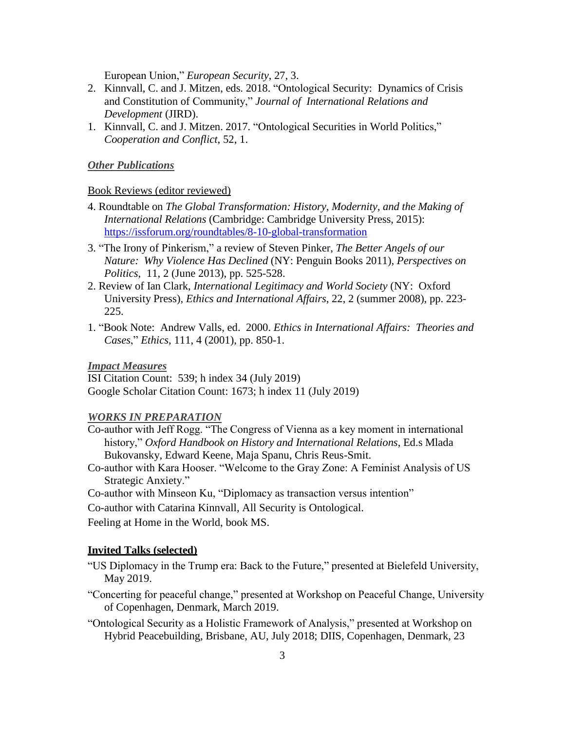European Union," *European Security*, 27, 3.

- 2. Kinnvall, C. and J. Mitzen, eds. 2018. "Ontological Security: Dynamics of Crisis and Constitution of Community," *Journal of International Relations and Development* (JIRD).
- 1. Kinnvall, C. and J. Mitzen. 2017. "Ontological Securities in World Politics," *Cooperation and Conflict*, 52, 1.

#### *Other Publications*

#### Book Reviews (editor reviewed)

- 4. Roundtable on *The Global Transformation: History, Modernity, and the Making of International Relations* (Cambridge: Cambridge University Press, 2015): <https://issforum.org/roundtables/8-10-global-transformation>
- 3. "The Irony of Pinkerism," a review of Steven Pinker, *The Better Angels of our Nature: Why Violence Has Declined* (NY: Penguin Books 2011), *Perspectives on Politics*, 11, 2 (June 2013), pp. 525-528.
- 2. Review of Ian Clark, *International Legitimacy and World Society* (NY: Oxford University Press), *Ethics and International Affairs*, 22, 2 (summer 2008), pp. 223- 225.
- 1. "Book Note: Andrew Valls, ed. 2000. *Ethics in International Affairs: Theories and Cases*," *Ethics*, 111, 4 (2001), pp. 850-1.

*Impact Measures*

ISI Citation Count: 539; h index 34 (July 2019) Google Scholar Citation Count: 1673; h index 11 (July 2019)

### *WORKS IN PREPARATION*

- Co-author with Jeff Rogg. "The Congress of Vienna as a key moment in international history," *Oxford Handbook on History and International Relations*, Ed.s Mlada Bukovansky, Edward Keene, Maja Spanu, Chris Reus-Smit.
- Co-author with Kara Hooser. "Welcome to the Gray Zone: A Feminist Analysis of US Strategic Anxiety."
- Co-author with Minseon Ku, "Diplomacy as transaction versus intention"

Co-author with Catarina Kinnvall, All Security is Ontological.

Feeling at Home in the World, book MS.

#### **Invited Talks (selected)**

- "US Diplomacy in the Trump era: Back to the Future," presented at Bielefeld University, May 2019.
- "Concerting for peaceful change," presented at Workshop on Peaceful Change, University of Copenhagen, Denmark, March 2019.
- "Ontological Security as a Holistic Framework of Analysis," presented at Workshop on Hybrid Peacebuilding, Brisbane, AU, July 2018; DIIS, Copenhagen, Denmark, 23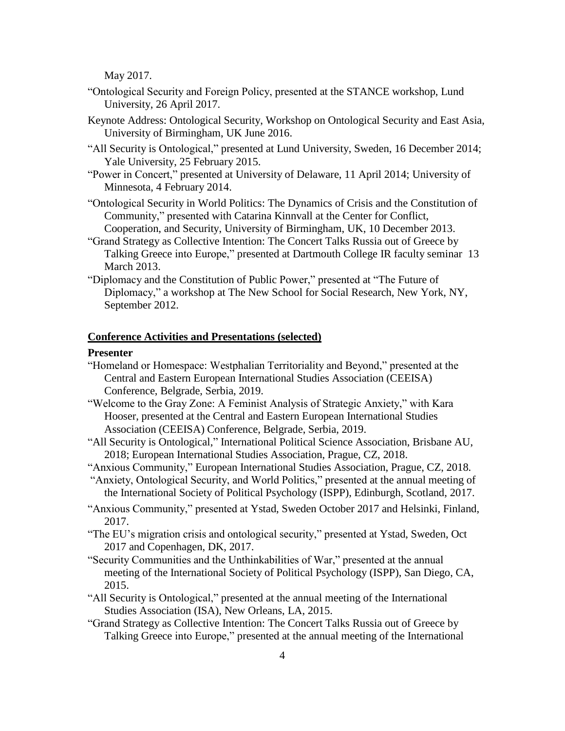May 2017.

- "Ontological Security and Foreign Policy, presented at the STANCE workshop, Lund University, 26 April 2017.
- Keynote Address: Ontological Security, Workshop on Ontological Security and East Asia, University of Birmingham, UK June 2016.
- "All Security is Ontological," presented at Lund University, Sweden, 16 December 2014; Yale University, 25 February 2015.
- "Power in Concert," presented at University of Delaware, 11 April 2014; University of Minnesota, 4 February 2014.
- "Ontological Security in World Politics: The Dynamics of Crisis and the Constitution of Community," presented with Catarina Kinnvall at the Center for Conflict, Cooperation, and Security, University of Birmingham, UK, 10 December 2013.
- "Grand Strategy as Collective Intention: The Concert Talks Russia out of Greece by Talking Greece into Europe," presented at Dartmouth College IR faculty seminar 13 March 2013.
- "Diplomacy and the Constitution of Public Power," presented at "The Future of Diplomacy," a workshop at The New School for Social Research, New York, NY, September 2012.

#### **Conference Activities and Presentations (selected)**

#### **Presenter**

- "Homeland or Homespace: Westphalian Territoriality and Beyond," presented at the Central and Eastern European International Studies Association (CEEISA) Conference, Belgrade, Serbia, 2019.
- "Welcome to the Gray Zone: A Feminist Analysis of Strategic Anxiety," with Kara Hooser, presented at the Central and Eastern European International Studies Association (CEEISA) Conference, Belgrade, Serbia, 2019.
- "All Security is Ontological," International Political Science Association, Brisbane AU, 2018; European International Studies Association, Prague, CZ, 2018.
- "Anxious Community," European International Studies Association, Prague, CZ, 2018.
- "Anxiety, Ontological Security, and World Politics," presented at the annual meeting of the International Society of Political Psychology (ISPP), Edinburgh, Scotland, 2017.
- "Anxious Community," presented at Ystad, Sweden October 2017 and Helsinki, Finland, 2017.
- "The EU's migration crisis and ontological security," presented at Ystad, Sweden, Oct 2017 and Copenhagen, DK, 2017.
- "Security Communities and the Unthinkabilities of War," presented at the annual meeting of the International Society of Political Psychology (ISPP), San Diego, CA, 2015.
- "All Security is Ontological," presented at the annual meeting of the International Studies Association (ISA), New Orleans, LA, 2015.
- "Grand Strategy as Collective Intention: The Concert Talks Russia out of Greece by Talking Greece into Europe," presented at the annual meeting of the International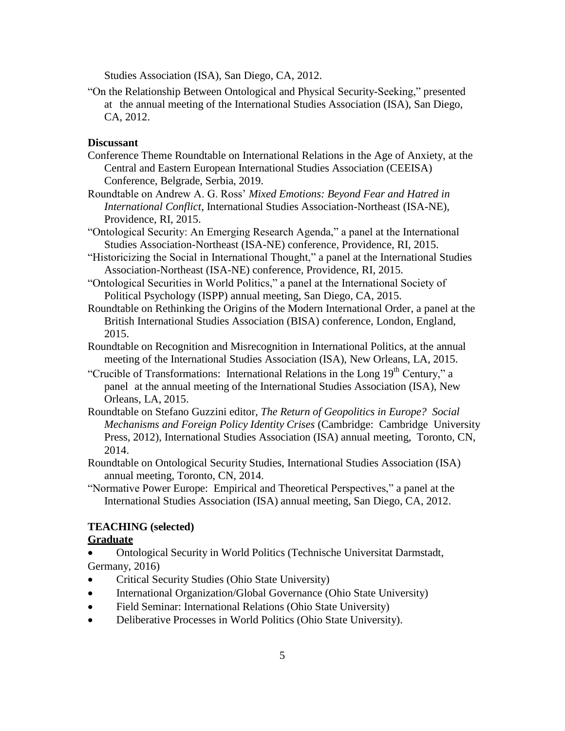Studies Association (ISA), San Diego, CA, 2012.

"On the Relationship Between Ontological and Physical Security-Seeking," presented at the annual meeting of the International Studies Association (ISA), San Diego, CA, 2012.

## **Discussant**

- Conference Theme Roundtable on International Relations in the Age of Anxiety, at the Central and Eastern European International Studies Association (CEEISA) Conference, Belgrade, Serbia, 2019.
- Roundtable on Andrew A. G. Ross' *Mixed Emotions: Beyond Fear and Hatred in International Conflict*, International Studies Association-Northeast (ISA-NE), Providence, RI, 2015.
- "Ontological Security: An Emerging Research Agenda," a panel at the International Studies Association-Northeast (ISA-NE) conference, Providence, RI, 2015.
- "Historicizing the Social in International Thought," a panel at the International Studies Association-Northeast (ISA-NE) conference, Providence, RI, 2015.
- "Ontological Securities in World Politics," a panel at the International Society of Political Psychology (ISPP) annual meeting, San Diego, CA, 2015.
- Roundtable on Rethinking the Origins of the Modern International Order, a panel at the British International Studies Association (BISA) conference, London, England, 2015.
- Roundtable on Recognition and Misrecognition in International Politics, at the annual meeting of the International Studies Association (ISA), New Orleans, LA, 2015.
- "Crucible of Transformations: International Relations in the Long 19<sup>th</sup> Century," a panel at the annual meeting of the International Studies Association (ISA), New Orleans, LA, 2015.
- Roundtable on Stefano Guzzini editor, *The Return of Geopolitics in Europe? Social Mechanisms and Foreign Policy Identity Crises* (Cambridge: Cambridge University Press, 2012), International Studies Association (ISA) annual meeting, Toronto, CN, 2014.
- Roundtable on Ontological Security Studies, International Studies Association (ISA) annual meeting, Toronto, CN, 2014.
- "Normative Power Europe: Empirical and Theoretical Perspectives," a panel at the International Studies Association (ISA) annual meeting, San Diego, CA, 2012.

### **TEACHING (selected)**

## **Graduate**

- Ontological Security in World Politics (Technische Universitat Darmstadt, Germany, 2016)
- Critical Security Studies (Ohio State University)
- International Organization/Global Governance (Ohio State University)
- Field Seminar: International Relations (Ohio State University)
- Deliberative Processes in World Politics (Ohio State University).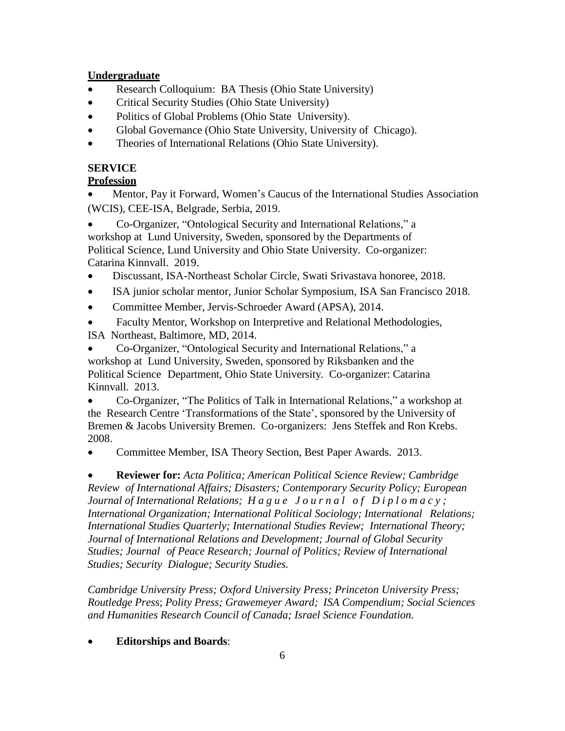## **Undergraduate**

- Research Colloquium: BA Thesis (Ohio State University)
- Critical Security Studies (Ohio State University)
- Politics of Global Problems (Ohio State University).
- Global Governance (Ohio State University, University of Chicago).
- Theories of International Relations (Ohio State University).

# **SERVICE**

## **Profession**

 Mentor, Pay it Forward, Women's Caucus of the International Studies Association (WCIS), CEE-ISA, Belgrade, Serbia, 2019.

 Co-Organizer, "Ontological Security and International Relations," a workshop at Lund University, Sweden, sponsored by the Departments of Political Science, Lund University and Ohio State University. Co-organizer: Catarina Kinnvall. 2019.

- Discussant, ISA-Northeast Scholar Circle, Swati Srivastava honoree, 2018.
- ISA junior scholar mentor, Junior Scholar Symposium, ISA San Francisco 2018.
- Committee Member, Jervis-Schroeder Award (APSA), 2014.

 Faculty Mentor, Workshop on Interpretive and Relational Methodologies, ISA Northeast, Baltimore, MD, 2014.

 Co-Organizer, "Ontological Security and International Relations," a workshop at Lund University, Sweden, sponsored by Riksbanken and the Political Science Department, Ohio State University. Co-organizer: Catarina Kinnvall. 2013.

 Co-Organizer, "The Politics of Talk in International Relations," a workshop at the Research Centre 'Transformations of the State', sponsored by the University of Bremen & Jacobs University Bremen. Co-organizers: Jens Steffek and Ron Krebs. 2008.

Committee Member, ISA Theory Section, Best Paper Awards. 2013.

 **Reviewer for:** *Acta Politica; American Political Science Review; Cambridge Review of International Affairs; Disasters; Contemporary Security Policy; European Journal of International Relations; Hague Journal of Diplomacy; International Organization; International Political Sociology; International Relations; International Studies Quarterly; International Studies Review; International Theory; Journal of International Relations and Development; Journal of Global Security Studies; Journal of Peace Research; Journal of Politics; Review of International Studies; Security Dialogue; Security Studies.*

*Cambridge University Press; Oxford University Press; Princeton University Press; Routledge Press*; *Polity Press; Grawemeyer Award; ISA Compendium; Social Sciences and Humanities Research Council of Canada; Israel Science Foundation.*

## **Editorships and Boards**: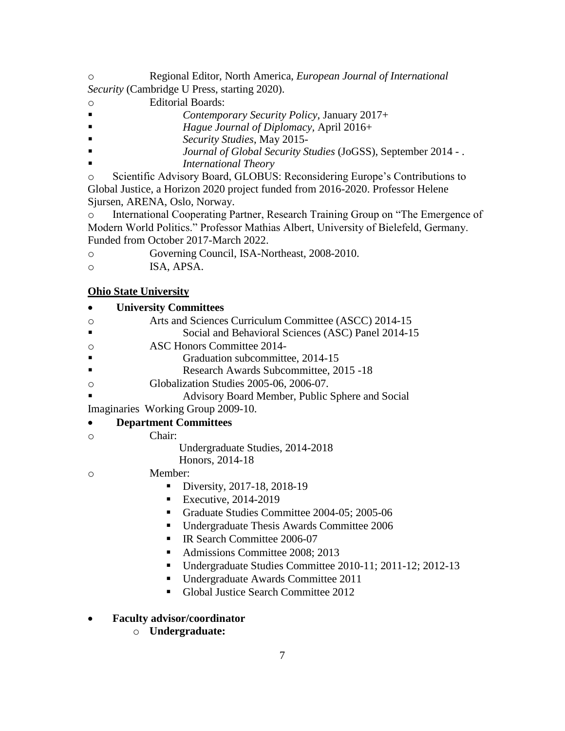o Regional Editor, North America, *European Journal of International Security* (Cambridge U Press, starting 2020).

- o Editorial Boards:
- *Contemporary Security Policy*, January 2017+
- *Hague Journal of Diplomacy,* April 2016+
- *Security Studies*, May 2015-
- *Journal of Global Security Studies* (JoGSS), September 2014 .
- *International Theory*

o Scientific Advisory Board, GLOBUS: Reconsidering Europe's Contributions to Global Justice, a Horizon 2020 project funded from 2016-2020. Professor Helene Sjursen, ARENA, Oslo, Norway.

o International Cooperating Partner, Research Training Group on "The Emergence of Modern World Politics." Professor Mathias Albert, University of Bielefeld, Germany. Funded from October 2017-March 2022.

- o Governing Council, ISA-Northeast, 2008-2010.
- o ISA, APSA.

## **Ohio State University**

| <b>University Committees</b>                                   |
|----------------------------------------------------------------|
| Arts and Sciences Curriculum Committee (ASCC) 2014-15<br>O     |
| Social and Behavioral Sciences (ASC) Panel 2014-15             |
| <b>ASC Honors Committee 2014-</b><br>O                         |
| Graduation subcommittee, 2014-15                               |
| Research Awards Subcommittee, 2015 -18                         |
| Globalization Studies 2005-06, 2006-07.<br>$\circ$             |
| Advisory Board Member, Public Sphere and Social                |
| Imaginaries Working Group 2009-10.                             |
| <b>Department Committees</b>                                   |
| Chair:<br>$\circ$                                              |
| Undergraduate Studies, 2014-2018                               |
| Honors, 2014-18                                                |
| Member:<br>$\circ$                                             |
| Diversity, 2017-18, 2018-19                                    |
| Executive, 2014-2019<br>п                                      |
| Graduate Studies Committee 2004-05; 2005-06<br>п               |
| Undergraduate Thesis Awards Committee 2006<br>п                |
| IR Search Committee 2006-07<br>п                               |
| Admissions Committee 2008; 2013<br>п                           |
| Undergraduate Studies Committee 2010-11; 2011-12; 2012-13<br>п |
| Undergraduate Awards Committee 2011<br>п                       |
| Global Justice Search Committee 2012<br>п                      |
|                                                                |
| <b>Faculty advisor/coordinator</b>                             |

o **Undergraduate:**